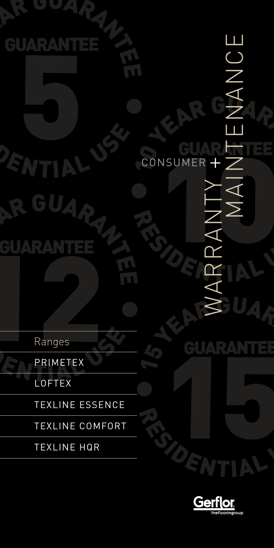

TEXLINE COMFORT

TEXLINE HQR

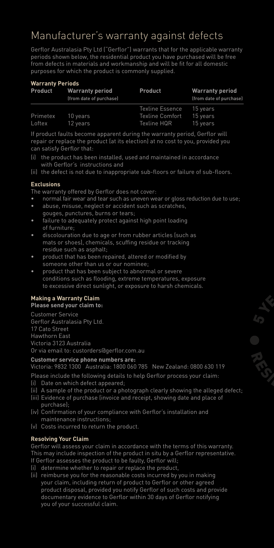# Manufacturer's warranty against defects

Gerflor Australasia Pty Ltd ("Gerflor") warrants that for the applicable warranty periods shown below, the residential product you have purchased will be free from defects in materials and workmanship and will be fit for all domestic purposes for which the product is commonly supplied.

#### **Warranty Periods**

| <b>Product</b> | <b>Warranty period</b><br>(from date of purchase) | <b>Product</b>         | <b>Warranty period</b><br>(from date of purchase) |
|----------------|---------------------------------------------------|------------------------|---------------------------------------------------|
|                |                                                   | Texline Essence        | 15 years                                          |
| Primetex       | 10 years                                          | <b>Texline Comfort</b> | 15 years                                          |
| Loftex         | 12 years                                          | Texline HQR            | 15 years                                          |

If product faults become apparent during the warranty period, Gerflor will repair or replace the product (at its election) at no cost to you, provided you can satisfy Gerflor that:

- (i) the product has been installed, used and maintained in accordance with Gerflor's instructions and
- (ii) the defect is not due to inappropriate sub-floors or failure of sub-floors.

### **Exclusions**

The warranty offered by Gerflor does not cover:

- normal fair wear and tear such as uneven wear or gloss reduction due to use;
- abuse, misuse, neglect or accident such as scratches, gouges, punctures, burns or tears;
- failure to adequately protect against high point loading of furniture;
- discolouration due to age or from rubber articles (such as mats or shoes), chemicals, scuffing residue or tracking residue such as asphalt;
- product that has been repaired, altered or modified by someone other than us or our nominee;
- product that has been subject to abnormal or severe conditions such as flooding, extreme temperatures, exposure to excessive direct sunlight, or exposure to harsh chemicals.

### **Making a Warranty Claim**

**Please send your claim to:**

Customer Service Gerflor Australasia Pty Ltd. 17 Cato Street Hawthorn East Victoria 3123 Australia Or via email to: custorders@gerflor.com.au

#### **Customer service phone numbers are:**

Victoria: 9832 1300 Australia: 1800 060 785 New Zealand: 0800 630 119

- Please include the following details to help Gerflor process your claim:
- (i) Date on which defect appeared;
- (ii) A sample of the product or a photograph clearly showing the alleged defect;
- (iii) Evidence of purchase (invoice and receipt, showing date and place of purchase);
- (iv) Confirmation of your compliance with Gerflor's installation and maintenance instructions;
- (v) Costs incurred to return the product.

### **Resolving Your Claim**

Gerflor will assess your claim in accordance with the terms of this warranty. This may include inspection of the product in situ by a Gerflor representative. If Gerflor assesses the product to be faulty, Gerflor will;

- (i) determine whether to repair or replace the product,
- (ii) reimburse you for the reasonable costs incurred by you in making your claim, including return of product to Gerflor or other agreed product disposal, provided you notify Gerflor of such costs and provide documentary evidence to Gerflor within 30 days of Gerflor notifying you of your successful claim.

 $L_{\mathcal{D}}$ YEAR RESIDENCE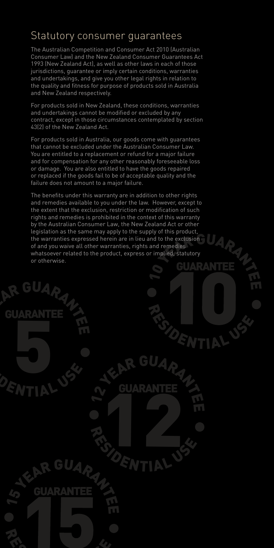## Statutory consumer guarantees

The Australian Competition and Consumer Act 2010 (Australian Consumer Law) and the New Zealand Consumer Guarantees Act 1993 (New Zealand Act), as well as other laws in each of those jurisdictions, guarantee or imply certain conditions, warranties and undertakings, and give you other legal rights in relation to the quality and fitness for purpose of products sold in Australia and New Zealand respectively.

For products sold in New Zealand, these conditions, warranties and undertakings cannot be modified or excluded by any contract, except in those circumstances contemplated by section 43(2) of the New Zealand Act.

For products sold in Australia, our goods come with guarantees that cannot be excluded under the Australian Consumer Law. You are entitled to a replacement or refund for a major failure and for compensation for any other reasonably foreseeable loss or damage. You are also entitled to have the goods repaired or replaced if the goods fail to be of acceptable quality and the failure does not amount to a major failure.

The benefits under this warranty are in addition to other rights and remedies available to you under the law. However, except to the extent that the exclusion, restriction or modification of such rights and remedies is prohibited in the context of this warranty by the Australian Consumer Law, the New Zealand Act or other legislation as the same may apply to the supply of this product, the warranties expressed herein are in lieu and to the exclusion of and you waive all other warranties, rights and remedies whatsoever related to the product, express or implied, statutory or otherwise.

R GUARANTEE

GUARANTEE

**FOR 1999** 

DENTIAL US

R. GUARANTEE

GUARANTEE

12 E

RESIDENTIAL US

E